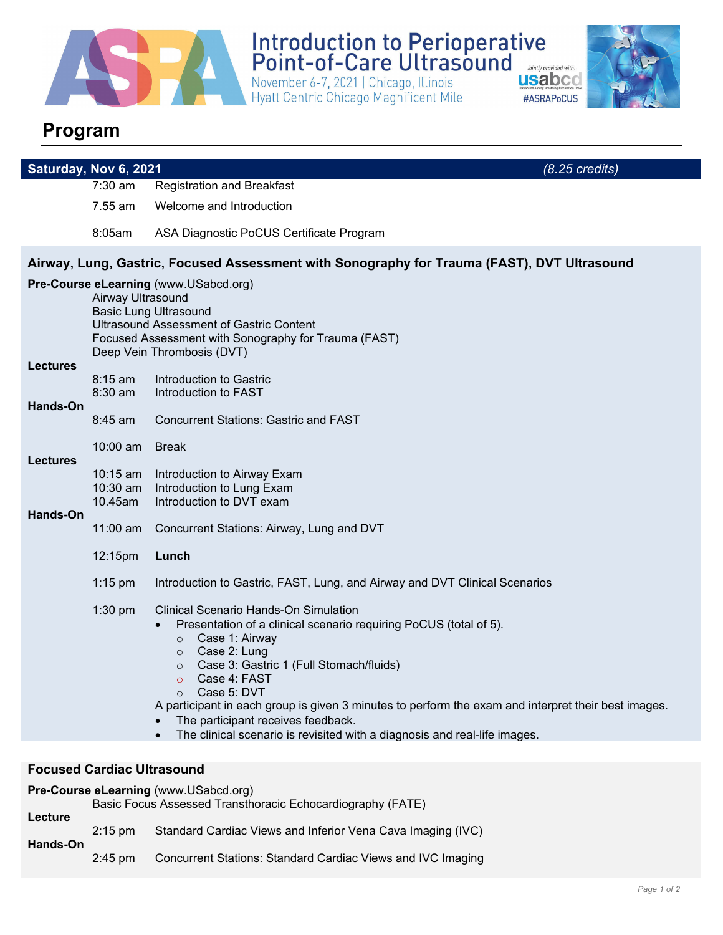

Introduction to Perioperative<br>Point-of-Care Ultrasound<br>November 6-7, 2021 | Chicago, Illinois<br>Hyatt Centric Chicago Magnificent Mile<br>#ASRA Jointly provided with:



## **Program**

| Saturday, Nov 6, 2021                                                      |                                                                                                             | $(8.25 \text{ credits})$                                                                                                                                                                                                                                                                                                                                                                                                                                                                                       |  |  |  |
|----------------------------------------------------------------------------|-------------------------------------------------------------------------------------------------------------|----------------------------------------------------------------------------------------------------------------------------------------------------------------------------------------------------------------------------------------------------------------------------------------------------------------------------------------------------------------------------------------------------------------------------------------------------------------------------------------------------------------|--|--|--|
|                                                                            | 7:30 am                                                                                                     | <b>Registration and Breakfast</b>                                                                                                                                                                                                                                                                                                                                                                                                                                                                              |  |  |  |
|                                                                            | 7.55 am                                                                                                     | Welcome and Introduction                                                                                                                                                                                                                                                                                                                                                                                                                                                                                       |  |  |  |
|                                                                            | 8:05am                                                                                                      | ASA Diagnostic PoCUS Certificate Program                                                                                                                                                                                                                                                                                                                                                                                                                                                                       |  |  |  |
|                                                                            |                                                                                                             | Airway, Lung, Gastric, Focused Assessment with Sonography for Trauma (FAST), DVT Ultrasound                                                                                                                                                                                                                                                                                                                                                                                                                    |  |  |  |
| <b>Lectures</b><br>Hands-On<br><b>Lectures</b>                             | Airway Ultrasound<br>$8:15$ am<br>$8:30$ am<br>$8:45$ am<br>$10:00$ am<br>$10:15$ am<br>10:30 am<br>10.45am | Pre-Course eLearning (www.USabcd.org)<br><b>Basic Lung Ultrasound</b><br><b>Ultrasound Assessment of Gastric Content</b><br>Focused Assessment with Sonography for Trauma (FAST)<br>Deep Vein Thrombosis (DVT)<br>Introduction to Gastric<br>Introduction to FAST<br><b>Concurrent Stations: Gastric and FAST</b><br><b>Break</b><br>Introduction to Airway Exam<br>Introduction to Lung Exam<br>Introduction to DVT exam                                                                                      |  |  |  |
| Hands-On                                                                   | 11:00 am                                                                                                    | Concurrent Stations: Airway, Lung and DVT                                                                                                                                                                                                                                                                                                                                                                                                                                                                      |  |  |  |
|                                                                            | 12:15pm                                                                                                     | Lunch                                                                                                                                                                                                                                                                                                                                                                                                                                                                                                          |  |  |  |
|                                                                            | $1:15$ pm                                                                                                   | Introduction to Gastric, FAST, Lung, and Airway and DVT Clinical Scenarios                                                                                                                                                                                                                                                                                                                                                                                                                                     |  |  |  |
|                                                                            | $1:30$ pm                                                                                                   | <b>Clinical Scenario Hands-On Simulation</b><br>Presentation of a clinical scenario requiring PoCUS (total of 5).<br>Case 1: Airway<br>$\circ$<br>Case 2: Lung<br>$\circ$<br>Case 3: Gastric 1 (Full Stomach/fluids)<br>$\circ$<br>Case 4: FAST<br>$\circ$<br>Case 5: DVT<br>$\circ$<br>A participant in each group is given 3 minutes to perform the exam and interpret their best images.<br>The participant receives feedback.<br>The clinical scenario is revisited with a diagnosis and real-life images. |  |  |  |
|                                                                            |                                                                                                             |                                                                                                                                                                                                                                                                                                                                                                                                                                                                                                                |  |  |  |
| <b>Focused Cardiac Ultrasound</b><br>Pre-Course eLearning (www.USabcd.org) |                                                                                                             |                                                                                                                                                                                                                                                                                                                                                                                                                                                                                                                |  |  |  |
| Lecture                                                                    |                                                                                                             | Basic Focus Assessed Transthoracic Echocardiography (FATE)                                                                                                                                                                                                                                                                                                                                                                                                                                                     |  |  |  |

| $2:15 \text{ pm}$ | Standard Cardiac Views and Inferior Vena Cava Imaging (IVC) |
|-------------------|-------------------------------------------------------------|
|-------------------|-------------------------------------------------------------|

**Hands-On** 

2:45 pm Concurrent Stations: Standard Cardiac Views and IVC Imaging